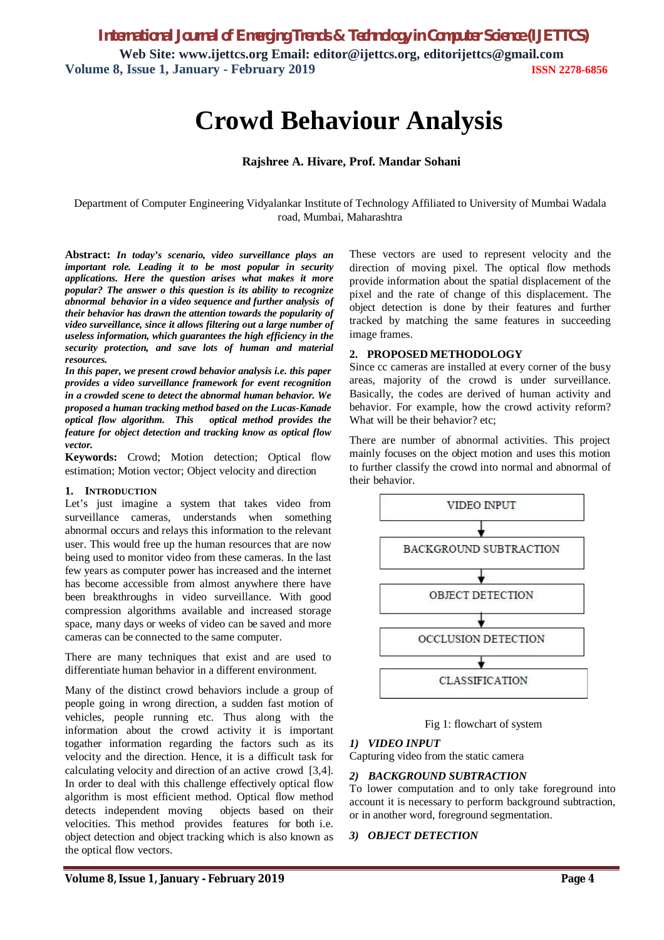# **Crowd Behaviour Analysis**

#### **Rajshree A. Hivare, Prof. Mandar Sohani**

Department of Computer Engineering Vidyalankar Institute of Technology Affiliated to University of Mumbai Wadala road, Mumbai, Maharashtra

**Abstract:** *In today's scenario, video surveillance plays an important role. Leading it to be most popular in security applications. Here the question arises what makes it more popular? The answer o this question is its ability to recognize abnormal behavior in a video sequence and further analysis of their behavior has drawn the attention towards the popularity of video surveillance, since it allows filtering out a large number of useless information, which guarantees the high efficiency in the security protection, and save lots of human and material resources.*

*In this paper, we present crowd behavior analysis i.e. this paper provides a video surveillance framework for event recognition in a crowded scene to detect the abnormal human behavior. We proposed a human tracking method based on the Lucas-Kanade optical flow algorithm. This optical method provides the feature for object detection and tracking know as optical flow vector.*

**Keywords:** Crowd; Motion detection; Optical flow estimation; Motion vector; Object velocity and direction

#### **1. INTRODUCTION**

Let's just imagine a system that takes video from surveillance cameras, understands when something abnormal occurs and relays this information to the relevant user. This would free up the human resources that are now being used to monitor video from these cameras. In the last few years as computer power has increased and the internet has become accessible from almost anywhere there have been breakthroughs in video surveillance. With good compression algorithms available and increased storage space, many days or weeks of video can be saved and more cameras can be connected to the same computer.

There are many techniques that exist and are used to differentiate human behavior in a different environment.

Many of the distinct crowd behaviors include a group of people going in wrong direction, a sudden fast motion of vehicles, people running etc. Thus along with the information about the crowd activity it is important togather information regarding the factors such as its velocity and the direction. Hence, it is a difficult task for calculating velocity and direction of an active crowd [3,4]. In order to deal with this challenge effectively optical flow algorithm is most efficient method. Optical flow method detects independent moving objects based on their velocities. This method provides features for both i.e. object detection and object tracking which is also known as the optical flow vectors.

These vectors are used to represent velocity and the direction of moving pixel. The optical flow methods provide information about the spatial displacement of the pixel and the rate of change of this displacement. The object detection is done by their features and further tracked by matching the same features in succeeding image frames.

#### **2. PROPOSED METHODOLOGY**

Since cc cameras are installed at every corner of the busy areas, majority of the crowd is under surveillance. Basically, the codes are derived of human activity and behavior. For example, how the crowd activity reform? What will be their behavior? etc;

There are number of abnormal activities. This project mainly focuses on the object motion and uses this motion to further classify the crowd into normal and abnormal of their behavior.



Fig 1: flowchart of system

## *1) VIDEO INPUT*

Capturing video from the static camera

#### *2) BACKGROUND SUBTRACTION*

To lower computation and to only take foreground into account it is necessary to perform background subtraction, or in another word, foreground segmentation.

#### *3) OBJECT DETECTION*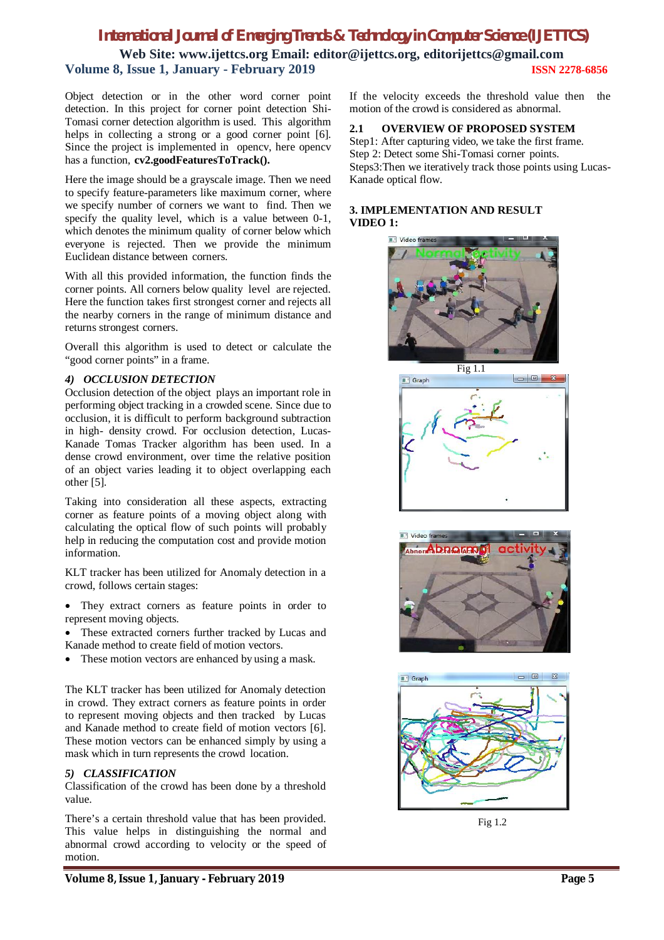# *International Journal of Emerging Trends & Technology in Computer Science (IJETTCS)*

**Web Site: www.ijettcs.org Email: editor@ijettcs.org, editorijettcs@gmail.com Volume 8, Issue 1, January - February 2019 ISSN 2278-6856**

Object detection or in the other word corner point detection. In this project for corner point detection Shi-Tomasi corner detection algorithm is used. This algorithm helps in collecting a strong or a good corner point [6]. Since the project is implemented in opencv, here opencv has a function, **cv2.goodFeaturesToTrack().**

Here the image should be a grayscale image. Then we need to specify feature-parameters like maximum corner, where we specify number of corners we want to find. Then we specify the quality level, which is a value between 0-1, which denotes the minimum quality of corner below which everyone is rejected. Then we provide the minimum Euclidean distance between corners.

With all this provided information, the function finds the corner points. All corners below quality level are rejected. Here the function takes first strongest corner and rejects all the nearby corners in the range of minimum distance and returns strongest corners.

Overall this algorithm is used to detect or calculate the "good corner points" in a frame.

#### *4) OCCLUSION DETECTION*

Occlusion detection of the object plays an important role in performing object tracking in a crowded scene. Since due to occlusion, it is difficult to perform background subtraction in high- density crowd. For occlusion detection, Lucas-Kanade Tomas Tracker algorithm has been used. In a dense crowd environment, over time the relative position of an object varies leading it to object overlapping each other [5].

Taking into consideration all these aspects, extracting corner as feature points of a moving object along with calculating the optical flow of such points will probably help in reducing the computation cost and provide motion information.

KLT tracker has been utilized for Anomaly detection in a crowd, follows certain stages:

 They extract corners as feature points in order to represent moving objects.

 These extracted corners further tracked by Lucas and Kanade method to create field of motion vectors.

• These motion vectors are enhanced by using a mask.

The KLT tracker has been utilized for Anomaly detection in crowd. They extract corners as feature points in order to represent moving objects and then tracked by Lucas and Kanade method to create field of motion vectors [6]. These motion vectors can be enhanced simply by using a mask which in turn represents the crowd location.

### *5) CLASSIFICATION*

Classification of the crowd has been done by a threshold value.

There's a certain threshold value that has been provided. This value helps in distinguishing the normal and abnormal crowd according to velocity or the speed of motion.

If the velocity exceeds the threshold value then the motion of the crowd is considered as abnormal.

#### **2.1 OVERVIEW OF PROPOSED SYSTEM**

Step1: After capturing video, we take the first frame. Step 2: Detect some Shi-Tomasi corner points. Steps3:Then we iteratively track those points using Lucas-Kanade optical flow.

#### **3. IMPLEMENTATION AND RESULT VIDEO 1:**









Fig 1.2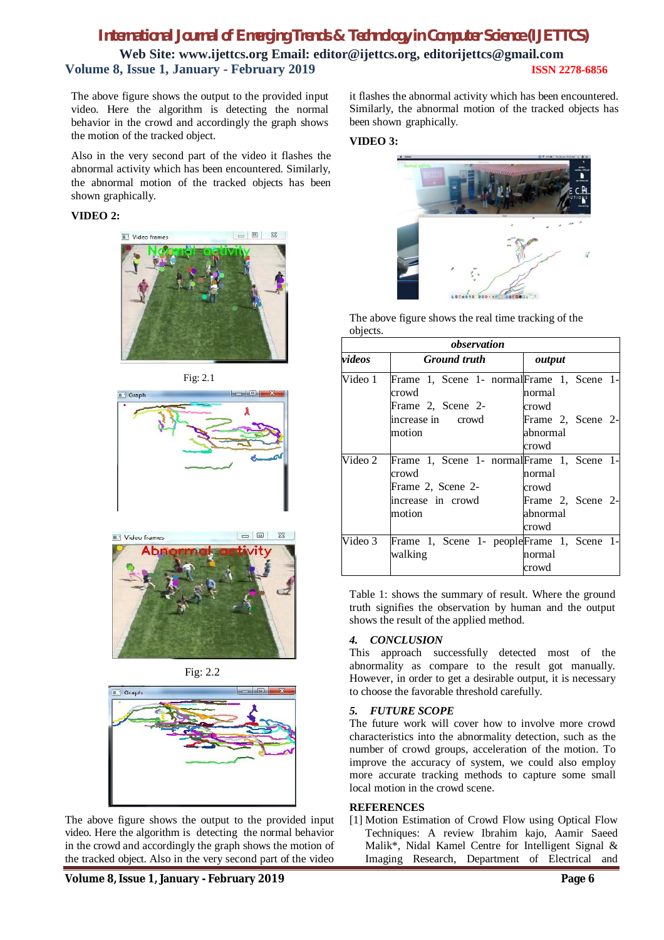## *International Journal of Emerging Trends & Technology in Computer Science (IJETTCS)* **Web Site: www.ijettcs.org Email: editor@ijettcs.org, editorijettcs@gmail.com Volume 8, Issue 1, January - February 2019 ISSN 2278-6856**

The above figure shows the output to the provided input video. Here the algorithm is detecting the normal behavior in the crowd and accordingly the graph shows the motion of the tracked object.

Also in the very second part of the video it flashes the abnormal activity which has been encountered. Similarly, the abnormal motion of the tracked objects has been shown graphically.

#### **VIDEO 2:**













The above figure shows the output to the provided input video. Here the algorithm is detecting the normal behavior in the crowd and accordingly the graph shows the motion of the tracked object. Also in the very second part of the video

it flashes the abnormal activity which has been encountered. Similarly, the abnormal motion of the tracked objects has been shown graphically.

#### **VIDEO 3:**



The above figure shows the real time tracking of the objects.

| observation |                                                                          |  |                                        |  |  |  |
|-------------|--------------------------------------------------------------------------|--|----------------------------------------|--|--|--|
| videos      | <b>Ground</b> truth                                                      |  | output                                 |  |  |  |
| Video 1     | Frame 1, Scene 1- normal Frame 1, Scene 1-<br>crowd<br>Frame 2, Scene 2- |  | normal<br>crowd                        |  |  |  |
|             | increase in crowd<br>motion                                              |  | Frame 2, Scene 2-<br>abnormal<br>crowd |  |  |  |
| Video 2     | Frame 1, Scene 1- normal Frame 1, Scene 1-<br>crowd<br>Frame 2, Scene 2- |  | normal<br>crowd                        |  |  |  |
|             | increase in crowd<br>motion                                              |  | Frame 2, Scene 2-<br>abnormal<br>crowd |  |  |  |
| Video 3     | Frame 1, Scene 1- peopleFrame 1, Scene 1-<br>walking                     |  | normal<br>crowd                        |  |  |  |

Table 1: shows the summary of result. Where the ground truth signifies the observation by human and the output shows the result of the applied method.

#### *4. CONCLUSION*

This approach successfully detected most of the abnormality as compare to the result got manually. However, in order to get a desirable output, it is necessary to choose the favorable threshold carefully.

#### *5. FUTURE SCOPE*

The future work will cover how to involve more crowd characteristics into the abnormality detection, such as the number of crowd groups, acceleration of the motion. To improve the accuracy of system, we could also employ more accurate tracking methods to capture some small local motion in the crowd scene.

#### **REFERENCES**

[1] Motion Estimation of Crowd Flow using Optical Flow Techniques: A review Ibrahim kajo, Aamir Saeed Malik\*, Nidal Kamel Centre for Intelligent Signal & Imaging Research, Department of Electrical and